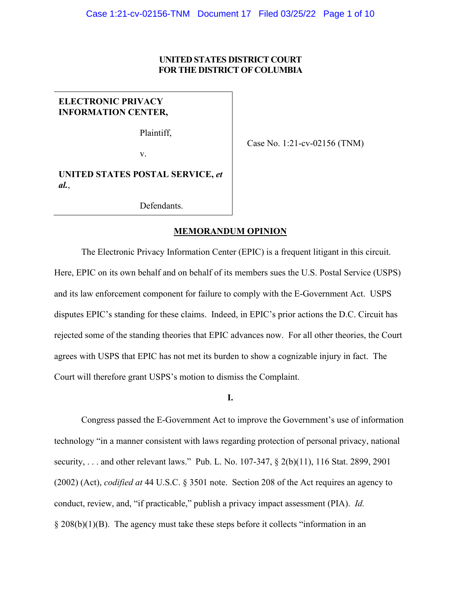# **UNITED STATES DISTRICT COURT FOR THE DISTRICT OF COLUMBIA**

# **ELECTRONIC PRIVACY INFORMATION CENTER,**

Plaintiff,

Case No. 1:21-cv-02156 (TNM)

v.

**UNITED STATES POSTAL SERVICE,** *et al.*,

Defendants.

#### **MEMORANDUM OPINION**

The Electronic Privacy Information Center (EPIC) is a frequent litigant in this circuit. Here, EPIC on its own behalf and on behalf of its members sues the U.S. Postal Service (USPS) and its law enforcement component for failure to comply with the E-Government Act. USPS disputes EPIC's standing for these claims. Indeed, in EPIC's prior actions the D.C. Circuit has rejected some of the standing theories that EPIC advances now. For all other theories, the Court agrees with USPS that EPIC has not met its burden to show a cognizable injury in fact. The Court will therefore grant USPS's motion to dismiss the Complaint.

**I.**

Congress passed the E-Government Act to improve the Government's use of information technology "in a manner consistent with laws regarding protection of personal privacy, national security, . . . and other relevant laws." Pub. L. No. 107-347, § 2(b)(11), 116 Stat. 2899, 2901 (2002) (Act), *codified at* 44 U.S.C. § 3501 note. Section 208 of the Act requires an agency to conduct, review, and, "if practicable," publish a privacy impact assessment (PIA). *Id.*  $\S 208(b)(1)(B)$ . The agency must take these steps before it collects "information in an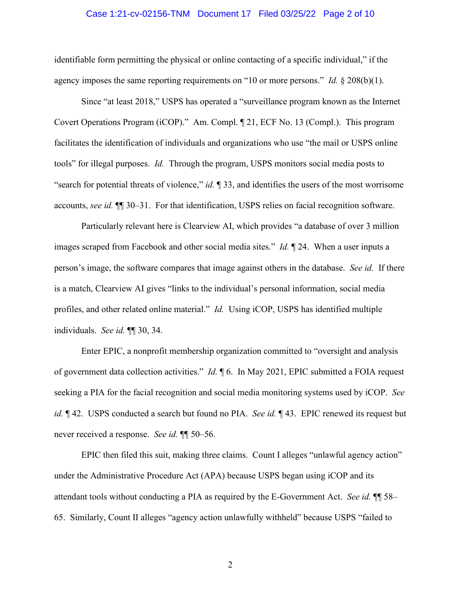## Case 1:21-cv-02156-TNM Document 17 Filed 03/25/22 Page 2 of 10

identifiable form permitting the physical or online contacting of a specific individual," if the agency imposes the same reporting requirements on "10 or more persons." *Id.* § 208(b)(1).

Since "at least 2018," USPS has operated a "surveillance program known as the Internet Covert Operations Program (iCOP)." Am. Compl. ¶ 21, ECF No. 13 (Compl.). This program facilitates the identification of individuals and organizations who use "the mail or USPS online tools" for illegal purposes. *Id.* Through the program, USPS monitors social media posts to "search for potential threats of violence," *id.* ¶ 33, and identifies the users of the most worrisome accounts, *see id.* ¶¶ 30–31. For that identification, USPS relies on facial recognition software.

Particularly relevant here is Clearview AI, which provides "a database of over 3 million images scraped from Facebook and other social media sites." *Id.* ¶ 24. When a user inputs a person's image, the software compares that image against others in the database. *See id.* If there is a match, Clearview AI gives "links to the individual's personal information, social media profiles, and other related online material." *Id.* Using iCOP, USPS has identified multiple individuals. *See id.* ¶¶ 30, 34.

Enter EPIC, a nonprofit membership organization committed to "oversight and analysis of government data collection activities." *Id.* ¶ 6. In May 2021, EPIC submitted a FOIA request seeking a PIA for the facial recognition and social media monitoring systems used by iCOP. *See id.* ¶ 42. USPS conducted a search but found no PIA. *See id.* ¶ 43. EPIC renewed its request but never received a response. *See id.* ¶¶ 50–56.

EPIC then filed this suit, making three claims. Count I alleges "unlawful agency action" under the Administrative Procedure Act (APA) because USPS began using iCOP and its attendant tools without conducting a PIA as required by the E-Government Act. *See id.* ¶¶ 58– 65. Similarly, Count II alleges "agency action unlawfully withheld" because USPS "failed to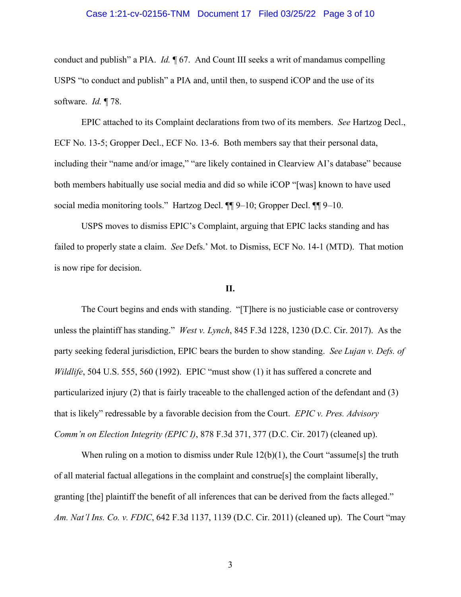# Case 1:21-cv-02156-TNM Document 17 Filed 03/25/22 Page 3 of 10

conduct and publish" a PIA. *Id.* ¶ 67. And Count III seeks a writ of mandamus compelling USPS "to conduct and publish" a PIA and, until then, to suspend iCOP and the use of its software. *Id.* ¶ 78.

EPIC attached to its Complaint declarations from two of its members. *See* Hartzog Decl., ECF No. 13-5; Gropper Decl., ECF No. 13-6. Both members say that their personal data, including their "name and/or image," "are likely contained in Clearview AI's database" because both members habitually use social media and did so while iCOP "[was] known to have used social media monitoring tools." Hartzog Decl. ¶¶ 9–10; Gropper Decl. ¶¶ 9–10.

USPS moves to dismiss EPIC's Complaint, arguing that EPIC lacks standing and has failed to properly state a claim. *See* Defs.' Mot. to Dismiss, ECF No. 14-1 (MTD). That motion is now ripe for decision.

#### **II.**

The Court begins and ends with standing. "[T]here is no justiciable case or controversy unless the plaintiff has standing." *West v. Lynch*, 845 F.3d 1228, 1230 (D.C. Cir. 2017). As the party seeking federal jurisdiction, EPIC bears the burden to show standing. *See Lujan v. Defs. of Wildlife*, 504 U.S. 555, 560 (1992).EPIC "must show (1) it has suffered a concrete and particularized injury (2) that is fairly traceable to the challenged action of the defendant and (3) that is likely" redressable by a favorable decision from the Court. *EPIC v. Pres. Advisory Comm'n on Election Integrity (EPIC I)*, 878 F.3d 371, 377 (D.C. Cir. 2017) (cleaned up).

When ruling on a motion to dismiss under Rule  $12(b)(1)$ , the Court "assume<sup>[5]</sup> the truth of all material factual allegations in the complaint and construe[s] the complaint liberally, granting [the] plaintiff the benefit of all inferences that can be derived from the facts alleged." *Am. Nat'l Ins. Co. v. FDIC*, 642 F.3d 1137, 1139 (D.C. Cir. 2011) (cleaned up). The Court "may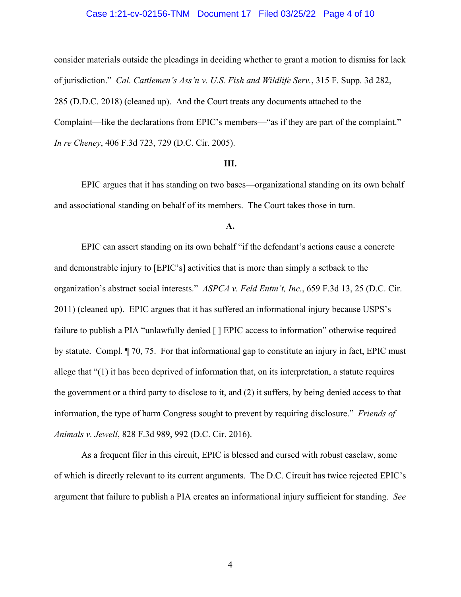## Case 1:21-cv-02156-TNM Document 17 Filed 03/25/22 Page 4 of 10

consider materials outside the pleadings in deciding whether to grant a motion to dismiss for lack of jurisdiction." *Cal. Cattlemen's Ass'n v. U.S. Fish and Wildlife Serv.*, 315 F. Supp. 3d 282, 285 (D.D.C. 2018) (cleaned up). And the Court treats any documents attached to the Complaint—like the declarations from EPIC's members—"as if they are part of the complaint." *In re Cheney*, 406 F.3d 723, 729 (D.C. Cir. 2005).

### **III.**

EPIC argues that it has standing on two bases—organizational standing on its own behalf and associational standing on behalf of its members. The Court takes those in turn.

# **A.**

EPIC can assert standing on its own behalf "if the defendant's actions cause a concrete and demonstrable injury to [EPIC's] activities that is more than simply a setback to the organization's abstract social interests." *ASPCA v. Feld Entm't, Inc.*, 659 F.3d 13, 25 (D.C. Cir. 2011) (cleaned up). EPIC argues that it has suffered an informational injury because USPS's failure to publish a PIA "unlawfully denied [ ] EPIC access to information" otherwise required by statute. Compl. ¶ 70, 75. For that informational gap to constitute an injury in fact, EPIC must allege that "(1) it has been deprived of information that, on its interpretation, a statute requires the government or a third party to disclose to it, and (2) it suffers, by being denied access to that information, the type of harm Congress sought to prevent by requiring disclosure." *Friends of Animals v. Jewell*, 828 F.3d 989, 992 (D.C. Cir. 2016).

As a frequent filer in this circuit, EPIC is blessed and cursed with robust caselaw, some of which is directly relevant to its current arguments. The D.C. Circuit has twice rejected EPIC's argument that failure to publish a PIA creates an informational injury sufficient for standing. *See*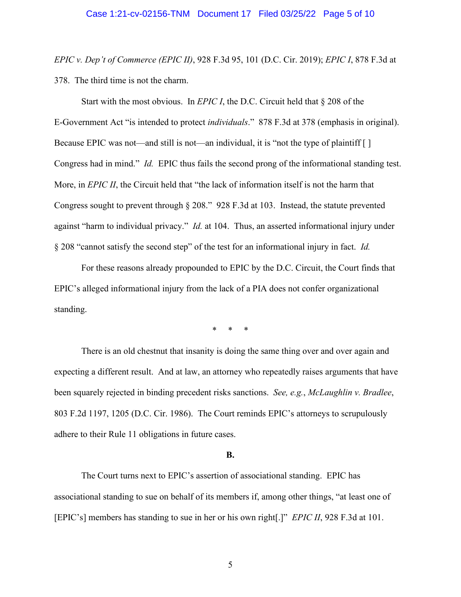#### Case 1:21-cv-02156-TNM Document 17 Filed 03/25/22 Page 5 of 10

*EPIC v. Dep't of Commerce (EPIC II)*, 928 F.3d 95, 101 (D.C. Cir. 2019); *EPIC I*, 878 F.3d at 378. The third time is not the charm.

Start with the most obvious. In *EPIC I*, the D.C. Circuit held that § 208 of the E-Government Act "is intended to protect *individuals*." 878 F.3d at 378 (emphasis in original). Because EPIC was not—and still is not—an individual, it is "not the type of plaintiff [] Congress had in mind." *Id.* EPIC thus fails the second prong of the informational standing test. More, in *EPIC II*, the Circuit held that "the lack of information itself is not the harm that Congress sought to prevent through § 208." 928 F.3d at 103. Instead, the statute prevented against "harm to individual privacy." *Id.* at 104. Thus, an asserted informational injury under § 208 "cannot satisfy the second step" of the test for an informational injury in fact. *Id.*

For these reasons already propounded to EPIC by the D.C. Circuit, the Court finds that EPIC's alleged informational injury from the lack of a PIA does not confer organizational standing.

\* \* \*

There is an old chestnut that insanity is doing the same thing over and over again and expecting a different result. And at law, an attorney who repeatedly raises arguments that have been squarely rejected in binding precedent risks sanctions. *See, e.g.*, *McLaughlin v. Bradlee*, 803 F.2d 1197, 1205 (D.C. Cir. 1986). The Court reminds EPIC's attorneys to scrupulously adhere to their Rule 11 obligations in future cases.

#### **B.**

The Court turns next to EPIC's assertion of associational standing. EPIC has associational standing to sue on behalf of its members if, among other things, "at least one of [EPIC's] members has standing to sue in her or his own right[.]" *EPIC II*, 928 F.3d at 101.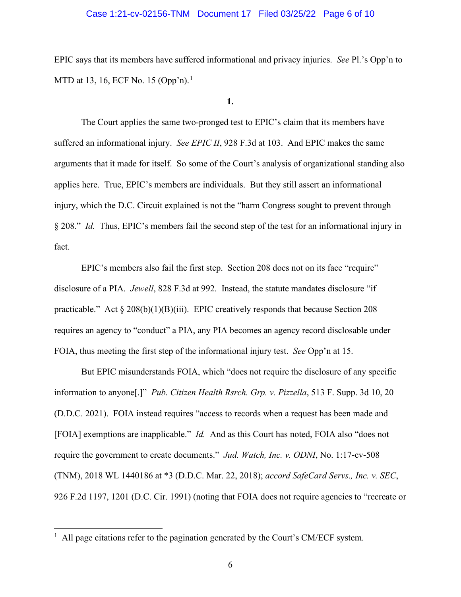# Case 1:21-cv-02156-TNM Document 17 Filed 03/25/22 Page 6 of 10

EPIC says that its members have suffered informational and privacy injuries. *See* Pl.'s Opp'n to MTD at 13, 16, ECF No. 15 (Opp'n).<sup>1</sup>

# **1.**

The Court applies the same two-pronged test to EPIC's claim that its members have suffered an informational injury. *See EPIC II*, 928 F.3d at 103. And EPIC makes the same arguments that it made for itself. So some of the Court's analysis of organizational standing also applies here. True, EPIC's members are individuals. But they still assert an informational injury, which the D.C. Circuit explained is not the "harm Congress sought to prevent through § 208." *Id.* Thus, EPIC's members fail the second step of the test for an informational injury in fact.

EPIC's members also fail the first step. Section 208 does not on its face "require" disclosure of a PIA. *Jewell*, 828 F.3d at 992. Instead, the statute mandates disclosure "if practicable." Act  $\S 208(b)(1)(B)(iii)$ . EPIC creatively responds that because Section 208 requires an agency to "conduct" a PIA, any PIA becomes an agency record disclosable under FOIA, thus meeting the first step of the informational injury test. *See* Opp'n at 15.

But EPIC misunderstands FOIA, which "does not require the disclosure of any specific information to anyone[.]" *Pub. Citizen Health Rsrch. Grp. v. Pizzella*, 513 F. Supp. 3d 10, 20 (D.D.C. 2021). FOIA instead requires "access to records when a request has been made and [FOIA] exemptions are inapplicable." *Id.* And as this Court has noted, FOIA also "does not require the government to create documents." *Jud. Watch, Inc. v. ODNI*, No. 1:17-cv-508 (TNM), 2018 WL 1440186 at \*3 (D.D.C. Mar. 22, 2018); *accord SafeCard Servs., Inc. v. SEC*, 926 F.2d 1197, 1201 (D.C. Cir. 1991) (noting that FOIA does not require agencies to "recreate or

 $<sup>1</sup>$  All page citations refer to the pagination generated by the Court's CM/ECF system.</sup>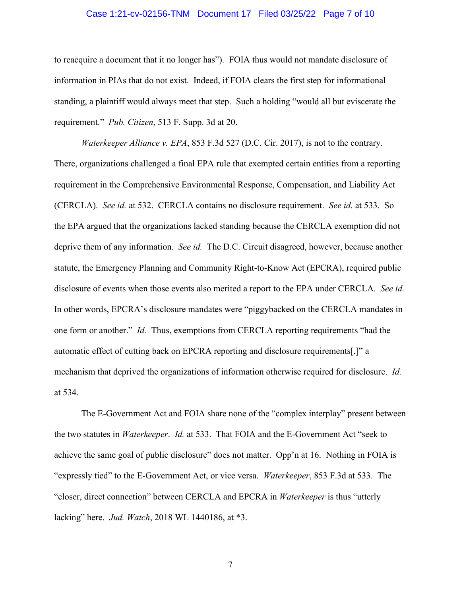# Case 1:21-cv-02156-TNM Document 17 Filed 03/25/22 Page 7 of 10

to reacquire a document that it no longer has"). FOIA thus would not mandate disclosure of information in PIAs that do not exist. Indeed, if FOIA clears the first step for informational standing, a plaintiff would always meet that step. Such a holding "would all but eviscerate the requirement." *Pub. Citizen*, 513 F. Supp. 3d at 20.

*Waterkeeper Alliance v. EPA*, 853 F.3d 527 (D.C. Cir. 2017), is not to the contrary. There, organizations challenged a final EPA rule that exempted certain entities from a reporting requirement in the Comprehensive Environmental Response, Compensation, and Liability Act (CERCLA). *See id.* at 532. CERCLA contains no disclosure requirement. *See id.* at 533. So the EPA argued that the organizations lacked standing because the CERCLA exemption did not deprive them of any information. *See id.* The D.C. Circuit disagreed, however, because another statute, the Emergency Planning and Community Right-to-Know Act (EPCRA), required public disclosure of events when those events also merited a report to the EPA under CERCLA. *See id.* In other words, EPCRA's disclosure mandates were "piggybacked on the CERCLA mandates in one form or another." *Id.* Thus, exemptions from CERCLA reporting requirements "had the automatic effect of cutting back on EPCRA reporting and disclosure requirements[,]" a mechanism that deprived the organizations of information otherwise required for disclosure. *Id.* at 534.

The E-Government Act and FOIA share none of the "complex interplay" present between the two statutes in *Waterkeeper*. *Id.* at 533. That FOIA and the E-Government Act "seek to achieve the same goal of public disclosure" does not matter. Opp'n at 16. Nothing in FOIA is "expressly tied" to the E-Government Act, or vice versa. *Waterkeeper*, 853 F.3d at 533. The "closer, direct connection" between CERCLA and EPCRA in *Waterkeeper* is thus "utterly lacking" here. *Jud. Watch*, 2018 WL 1440186, at \*3.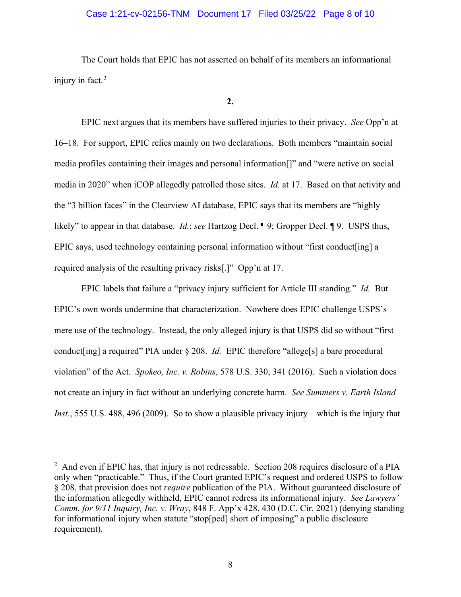# Case 1:21-cv-02156-TNM Document 17 Filed 03/25/22 Page 8 of 10

The Court holds that EPIC has not asserted on behalf of its members an informational injury in fact.<sup>2</sup>

**2.**

EPIC next argues that its members have suffered injuries to their privacy. *See* Opp'n at 16–18. For support, EPIC relies mainly on two declarations. Both members "maintain social media profiles containing their images and personal information[]" and "were active on social media in 2020" when iCOP allegedly patrolled those sites. *Id.* at 17. Based on that activity and the "3 billion faces" in the Clearview AI database, EPIC says that its members are "highly likely" to appear in that database. *Id.*; *see* Hartzog Decl. ¶ 9; Gropper Decl. ¶ 9. USPS thus, EPIC says, used technology containing personal information without "first conduct[ing] a required analysis of the resulting privacy risks[.]" Opp'n at 17.

EPIC labels that failure a "privacy injury sufficient for Article III standing." *Id.* But EPIC's own words undermine that characterization. Nowhere does EPIC challenge USPS's mere use of the technology. Instead, the only alleged injury is that USPS did so without "first conduct[ing] a required" PIA under § 208. *Id.* EPIC therefore "allege[s] a bare procedural violation" of the Act. *Spokeo, Inc. v. Robins*, 578 U.S. 330, 341 (2016). Such a violation does not create an injury in fact without an underlying concrete harm. *See Summers v. Earth Island Inst.*, 555 U.S. 488, 496 (2009). So to show a plausible privacy injury—which is the injury that

 $2$  And even if EPIC has, that injury is not redressable. Section 208 requires disclosure of a PIA only when "practicable." Thus, if the Court granted EPIC's request and ordered USPS to follow § 208, that provision does not *require* publication of the PIA. Without guaranteed disclosure of the information allegedly withheld, EPIC cannot redress its informational injury. *See Lawyers' Comm. for 9/11 Inquiry, Inc. v. Wray*, 848 F. App'x 428, 430 (D.C. Cir. 2021) (denying standing for informational injury when statute "stop[ped] short of imposing" a public disclosure requirement).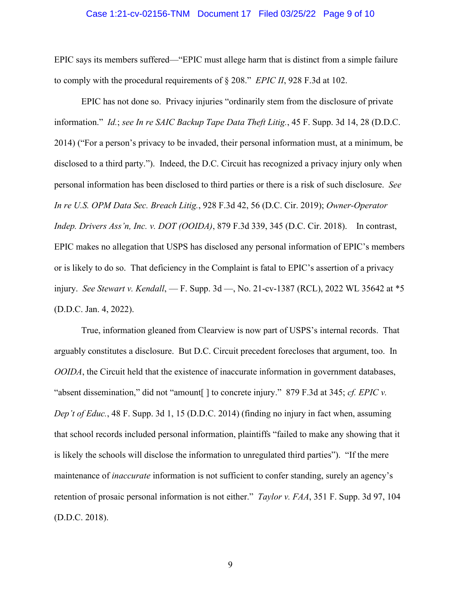## Case 1:21-cv-02156-TNM Document 17 Filed 03/25/22 Page 9 of 10

EPIC says its members suffered—"EPIC must allege harm that is distinct from a simple failure to comply with the procedural requirements of § 208." *EPIC II*, 928 F.3d at 102.

EPIC has not done so. Privacy injuries "ordinarily stem from the disclosure of private information." *Id.*; *see In re SAIC Backup Tape Data Theft Litig.*, 45 F. Supp. 3d 14, 28 (D.D.C. 2014) ("For a person's privacy to be invaded, their personal information must, at a minimum, be disclosed to a third party."). Indeed, the D.C. Circuit has recognized a privacy injury only when personal information has been disclosed to third parties or there is a risk of such disclosure. *See In re U.S. OPM Data Sec. Breach Litig.*, 928 F.3d 42, 56 (D.C. Cir. 2019); *Owner-Operator Indep. Drivers Ass'n, Inc. v. DOT (OOIDA)*, 879 F.3d 339, 345 (D.C. Cir. 2018). In contrast, EPIC makes no allegation that USPS has disclosed any personal information of EPIC's members or is likely to do so. That deficiency in the Complaint is fatal to EPIC's assertion of a privacy injury. *See Stewart v. Kendall*, — F. Supp. 3d —, No. 21-cv-1387 (RCL), 2022 WL 35642 at \*5 (D.D.C. Jan. 4, 2022).

True, information gleaned from Clearview is now part of USPS's internal records. That arguably constitutes a disclosure. But D.C. Circuit precedent forecloses that argument, too. In *OOIDA*, the Circuit held that the existence of inaccurate information in government databases, "absent dissemination," did not "amount[ ] to concrete injury." 879 F.3d at 345; *cf. EPIC v. Dep't of Educ.*, 48 F. Supp. 3d 1, 15 (D.D.C. 2014) (finding no injury in fact when, assuming that school records included personal information, plaintiffs "failed to make any showing that it is likely the schools will disclose the information to unregulated third parties"). "If the mere maintenance of *inaccurate* information is not sufficient to confer standing, surely an agency's retention of prosaic personal information is not either." *Taylor v. FAA*, 351 F. Supp. 3d 97, 104 (D.D.C. 2018).